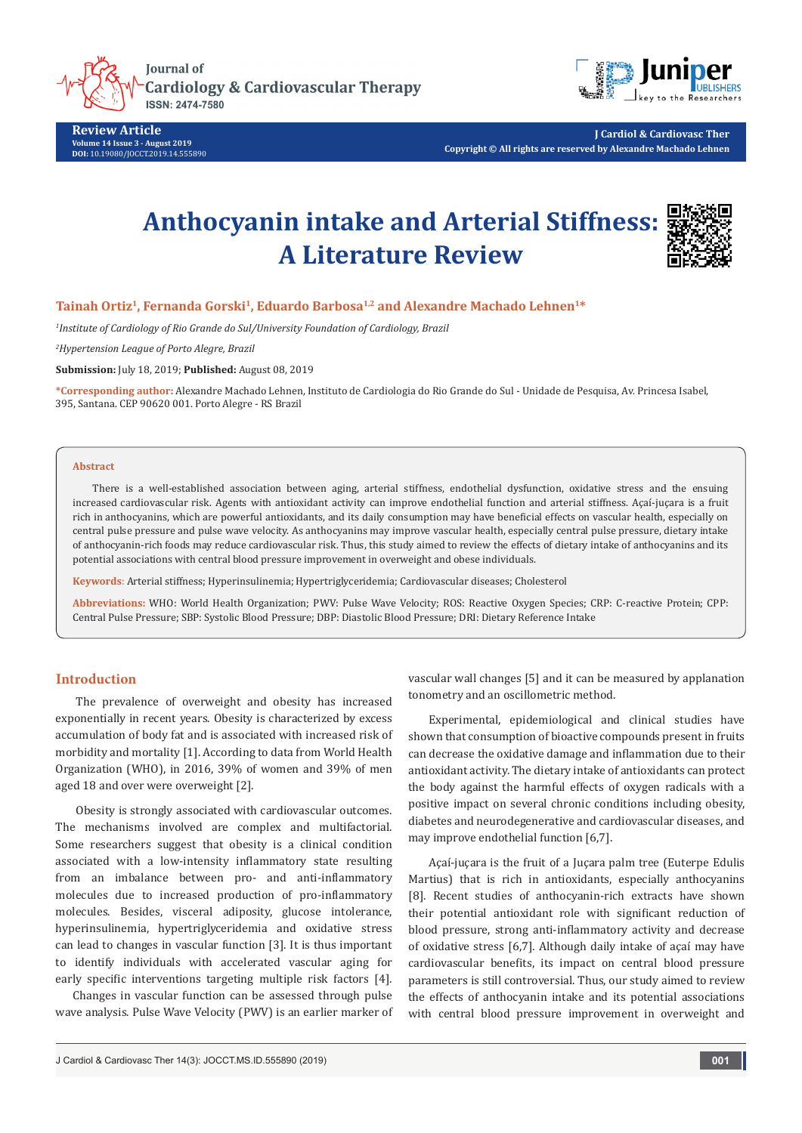

**Cardiology & Cardiovascular Therapy** 

**Review Article Volume 14 Issue 3 - August 2019 DOI:** [10.19080/JOCCT.2019.14.555890](http://dx.doi.org/10.19080/JOCCT.2019.14.555890)



**J Cardiol & Cardiovasc Ther Copyright © All rights are reserved by Alexandre Machado Lehnen**

# **Anthocyanin intake and Arterial Stiffness: A Literature Review**



## **Tainah Ortiz1, Fernanda Gorski1, Eduardo Barbosa1,2 and Alexandre Machado Lehnen1\***

*1 Institute of Cardiology of Rio Grande do Sul/University Foundation of Cardiology, Brazil*

*2 Hypertension League of Porto Alegre, Brazil*

**Submission:** July 18, 2019; **Published:** August 08, 2019

**\*Corresponding author:** Alexandre Machado Lehnen, Instituto de Cardiologia do Rio Grande do Sul - Unidade de Pesquisa, Av. Princesa Isabel, 395, Santana. CEP 90620 001. Porto Alegre - RS Brazil

#### **Abstract**

There is a well-established association between aging, arterial stiffness, endothelial dysfunction, oxidative stress and the ensuing increased cardiovascular risk. Agents with antioxidant activity can improve endothelial function and arterial stiffness. Açaí-juçara is a fruit rich in anthocyanins, which are powerful antioxidants, and its daily consumption may have beneficial effects on vascular health, especially on central pulse pressure and pulse wave velocity. As anthocyanins may improve vascular health, especially central pulse pressure, dietary intake of anthocyanin-rich foods may reduce cardiovascular risk. Thus, this study aimed to review the effects of dietary intake of anthocyanins and its potential associations with central blood pressure improvement in overweight and obese individuals.

**Keywords**: Arterial stiffness; Hyperinsulinemia; Hypertriglyceridemia; Cardiovascular diseases; Cholesterol

**Abbreviations:** WHO: World Health Organization; PWV: Pulse Wave Velocity; ROS: Reactive Oxygen Species; CRP: C-reactive Protein; CPP: Central Pulse Pressure; SBP: Systolic Blood Pressure; DBP: Diastolic Blood Pressure; DRI: Dietary Reference Intake

### **Introduction**

The prevalence of overweight and obesity has increased exponentially in recent years. Obesity is characterized by excess accumulation of body fat and is associated with increased risk of morbidity and mortality [1]. According to data from World Health Organization (WHO), in 2016, 39% of women and 39% of men aged 18 and over were overweight [2].

Obesity is strongly associated with cardiovascular outcomes. The mechanisms involved are complex and multifactorial. Some researchers suggest that obesity is a clinical condition associated with a low-intensity inflammatory state resulting from an imbalance between pro- and anti-inflammatory molecules due to increased production of pro-inflammatory molecules. Besides, visceral adiposity, glucose intolerance, hyperinsulinemia, hypertriglyceridemia and oxidative stress can lead to changes in vascular function [3]. It is thus important to identify individuals with accelerated vascular aging for early specific interventions targeting multiple risk factors [4].

 Changes in vascular function can be assessed through pulse wave analysis. Pulse Wave Velocity (PWV) is an earlier marker of vascular wall changes [5] and it can be measured by applanation tonometry and an oscillometric method.

Experimental, epidemiological and clinical studies have shown that consumption of bioactive compounds present in fruits can decrease the oxidative damage and inflammation due to their antioxidant activity. The dietary intake of antioxidants can protect the body against the harmful effects of oxygen radicals with a positive impact on several chronic conditions including obesity, diabetes and neurodegenerative and cardiovascular diseases, and may improve endothelial function [6,7].

Açaí-juçara is the fruit of a Juçara palm tree (Euterpe Edulis Martius) that is rich in antioxidants, especially anthocyanins [8]. Recent studies of anthocyanin-rich extracts have shown their potential antioxidant role with significant reduction of blood pressure, strong anti-inflammatory activity and decrease of oxidative stress [6,7]. Although daily intake of açaí may have cardiovascular benefits, its impact on central blood pressure parameters is still controversial. Thus, our study aimed to review the effects of anthocyanin intake and its potential associations with central blood pressure improvement in overweight and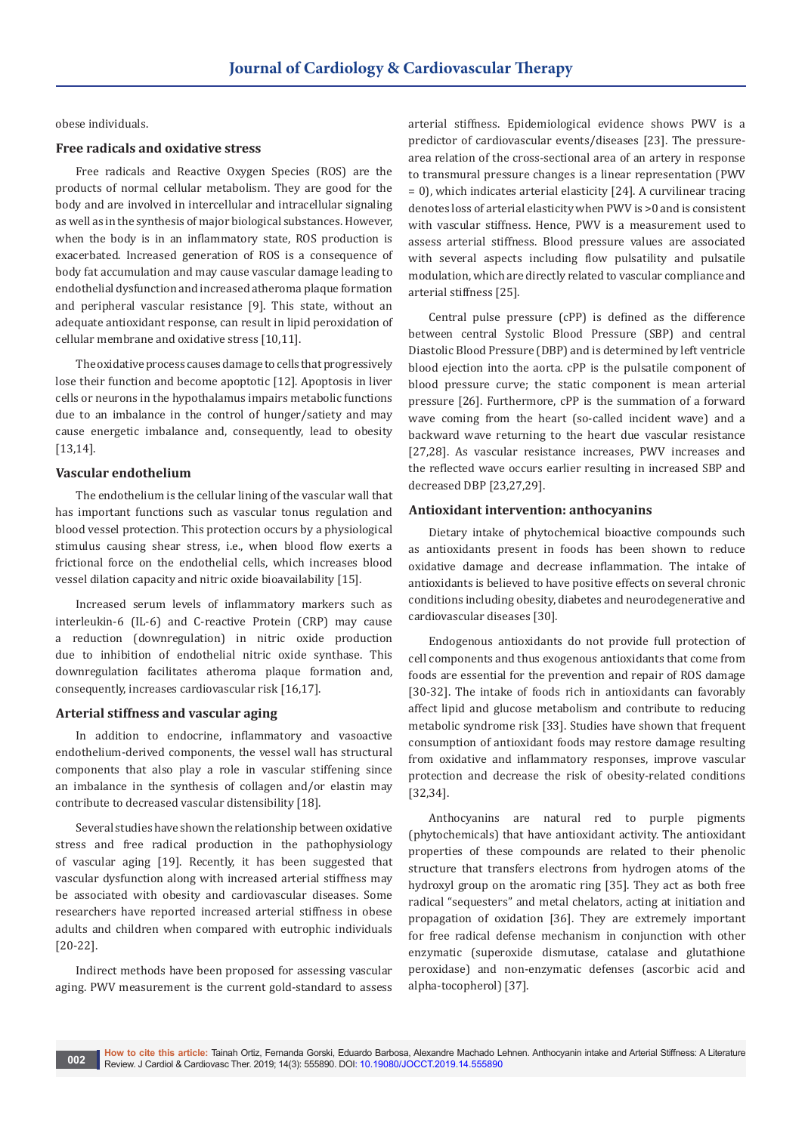obese individuals.

## **Free radicals and oxidative stress**

Free radicals and Reactive Oxygen Species (ROS) are the products of normal cellular metabolism. They are good for the body and are involved in intercellular and intracellular signaling as well as in the synthesis of major biological substances. However, when the body is in an inflammatory state, ROS production is exacerbated. Increased generation of ROS is a consequence of body fat accumulation and may cause vascular damage leading to endothelial dysfunction and increased atheroma plaque formation and peripheral vascular resistance [9]. This state, without an adequate antioxidant response, can result in lipid peroxidation of cellular membrane and oxidative stress [10,11].

The oxidative process causes damage to cells that progressively lose their function and become apoptotic [12]. Apoptosis in liver cells or neurons in the hypothalamus impairs metabolic functions due to an imbalance in the control of hunger/satiety and may cause energetic imbalance and, consequently, lead to obesity [13,14].

#### **Vascular endothelium**

The endothelium is the cellular lining of the vascular wall that has important functions such as vascular tonus regulation and blood vessel protection. This protection occurs by a physiological stimulus causing shear stress, i.e., when blood flow exerts a frictional force on the endothelial cells, which increases blood vessel dilation capacity and nitric oxide bioavailability [15].

Increased serum levels of inflammatory markers such as interleukin-6 (IL-6) and C-reactive Protein (CRP) may cause a reduction (downregulation) in nitric oxide production due to inhibition of endothelial nitric oxide synthase. This downregulation facilitates atheroma plaque formation and, consequently, increases cardiovascular risk [16,17].

#### **Arterial stiffness and vascular aging**

In addition to endocrine, inflammatory and vasoactive endothelium-derived components, the vessel wall has structural components that also play a role in vascular stiffening since an imbalance in the synthesis of collagen and/or elastin may contribute to decreased vascular distensibility [18].

Several studies have shown the relationship between oxidative stress and free radical production in the pathophysiology of vascular aging [19]. Recently, it has been suggested that vascular dysfunction along with increased arterial stiffness may be associated with obesity and cardiovascular diseases. Some researchers have reported increased arterial stiffness in obese adults and children when compared with eutrophic individuals [20-22].

Indirect methods have been proposed for assessing vascular aging. PWV measurement is the current gold-standard to assess

arterial stiffness. Epidemiological evidence shows PWV is a predictor of cardiovascular events/diseases [23]. The pressurearea relation of the cross-sectional area of an artery in response to transmural pressure changes is a linear representation (PWV = 0), which indicates arterial elasticity [24]. A curvilinear tracing denotes loss of arterial elasticity when PWV is >0 and is consistent with vascular stiffness. Hence, PWV is a measurement used to assess arterial stiffness. Blood pressure values are associated with several aspects including flow pulsatility and pulsatile modulation, which are directly related to vascular compliance and arterial stiffness [25].

Central pulse pressure (cPP) is defined as the difference between central Systolic Blood Pressure (SBP) and central Diastolic Blood Pressure (DBP) and is determined by left ventricle blood ejection into the aorta. cPP is the pulsatile component of blood pressure curve; the static component is mean arterial pressure [26]. Furthermore, cPP is the summation of a forward wave coming from the heart (so-called incident wave) and a backward wave returning to the heart due vascular resistance [27,28]. As vascular resistance increases, PWV increases and the reflected wave occurs earlier resulting in increased SBP and decreased DBP [23,27,29].

### **Antioxidant intervention: anthocyanins**

Dietary intake of phytochemical bioactive compounds such as antioxidants present in foods has been shown to reduce oxidative damage and decrease inflammation. The intake of antioxidants is believed to have positive effects on several chronic conditions including obesity, diabetes and neurodegenerative and cardiovascular diseases [30].

Endogenous antioxidants do not provide full protection of cell components and thus exogenous antioxidants that come from foods are essential for the prevention and repair of ROS damage [30-32]. The intake of foods rich in antioxidants can favorably affect lipid and glucose metabolism and contribute to reducing metabolic syndrome risk [33]. Studies have shown that frequent consumption of antioxidant foods may restore damage resulting from oxidative and inflammatory responses, improve vascular protection and decrease the risk of obesity-related conditions [32,34].

Anthocyanins are natural red to purple pigments (phytochemicals) that have antioxidant activity. The antioxidant properties of these compounds are related to their phenolic structure that transfers electrons from hydrogen atoms of the hydroxyl group on the aromatic ring [35]. They act as both free radical "sequesters" and metal chelators, acting at initiation and propagation of oxidation [36]. They are extremely important for free radical defense mechanism in conjunction with other enzymatic (superoxide dismutase, catalase and glutathione peroxidase) and non-enzymatic defenses (ascorbic acid and alpha-tocopherol) [37].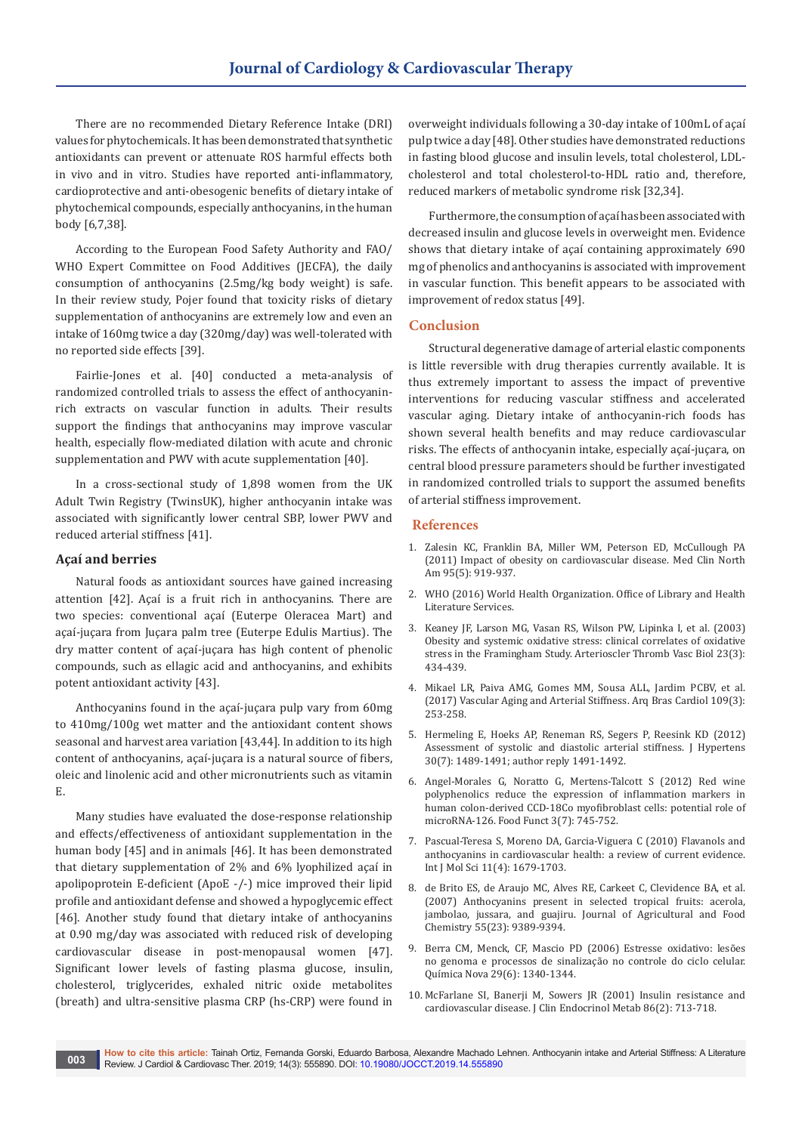There are no recommended Dietary Reference Intake (DRI) values for phytochemicals. It has been demonstrated that synthetic antioxidants can prevent or attenuate ROS harmful effects both in vivo and in vitro. Studies have reported anti-inflammatory, cardioprotective and anti-obesogenic benefits of dietary intake of phytochemical compounds, especially anthocyanins, in the human body [6,7,38].

According to the European Food Safety Authority and FAO/ WHO Expert Committee on Food Additives (JECFA), the daily consumption of anthocyanins (2.5mg/kg body weight) is safe. In their review study, Pojer found that toxicity risks of dietary supplementation of anthocyanins are extremely low and even an intake of 160mg twice a day (320mg/day) was well-tolerated with no reported side effects [39].

Fairlie-Jones et al. [40] conducted a meta-analysis of randomized controlled trials to assess the effect of anthocyaninrich extracts on vascular function in adults. Their results support the findings that anthocyanins may improve vascular health, especially flow-mediated dilation with acute and chronic supplementation and PWV with acute supplementation [40].

In a cross-sectional study of 1,898 women from the UK Adult Twin Registry (TwinsUK), higher anthocyanin intake was associated with significantly lower central SBP, lower PWV and reduced arterial stiffness [41].

#### **Açaí and berries**

Natural foods as antioxidant sources have gained increasing attention [42]. Açaí is a fruit rich in anthocyanins. There are two species: conventional açaí (Euterpe Oleracea Mart) and açaí-juçara from Juçara palm tree (Euterpe Edulis Martius). The dry matter content of açaí-juçara has high content of phenolic compounds, such as ellagic acid and anthocyanins, and exhibits potent antioxidant activity [43].

Anthocyanins found in the açaí-juçara pulp vary from 60mg to 410mg/100g wet matter and the antioxidant content shows seasonal and harvest area variation [43,44]. In addition to its high content of anthocyanins, açaí-juçara is a natural source of fibers, oleic and linolenic acid and other micronutrients such as vitamin E.

Many studies have evaluated the dose-response relationship and effects/effectiveness of antioxidant supplementation in the human body [45] and in animals [46]. It has been demonstrated that dietary supplementation of 2% and 6% lyophilized açaí in apolipoprotein E-deficient (ApoE -/-) mice improved their lipid profile and antioxidant defense and showed a hypoglycemic effect [46]. Another study found that dietary intake of anthocyanins at 0.90 mg/day was associated with reduced risk of developing cardiovascular disease in post-menopausal women [47]. Significant lower levels of fasting plasma glucose, insulin, cholesterol, triglycerides, exhaled nitric oxide metabolites (breath) and ultra-sensitive plasma CRP (hs-CRP) were found in

overweight individuals following a 30-day intake of 100mL of açaí pulp twice a day [48]. Other studies have demonstrated reductions in fasting blood glucose and insulin levels, total cholesterol, LDLcholesterol and total cholesterol-to-HDL ratio and, therefore, reduced markers of metabolic syndrome risk [32,34].

Furthermore, the consumption of açaí has been associated with decreased insulin and glucose levels in overweight men. Evidence shows that dietary intake of açaí containing approximately 690 mg of phenolics and anthocyanins is associated with improvement in vascular function. This benefit appears to be associated with improvement of redox status [49].

### **Conclusion**

Structural degenerative damage of arterial elastic components is little reversible with drug therapies currently available. It is thus extremely important to assess the impact of preventive interventions for reducing vascular stiffness and accelerated vascular aging. Dietary intake of anthocyanin-rich foods has shown several health benefits and may reduce cardiovascular risks. The effects of anthocyanin intake, especially açaí-juçara, on central blood pressure parameters should be further investigated in randomized controlled trials to support the assumed benefits of arterial stiffness improvement.

### **References**

- 1. [Zalesin KC, Franklin BA, Miller WM, Peterson ED, McCullough PA](https://www.ncbi.nlm.nih.gov/pubmed/21855700)  [\(2011\) Impact of obesity on cardiovascular disease. Med Clin North](https://www.ncbi.nlm.nih.gov/pubmed/21855700)  [Am 95\(5\): 919-937.](https://www.ncbi.nlm.nih.gov/pubmed/21855700)
- 2. [WHO \(2016\) World Health Organization. Office of Library and Health](https://www.who.int/gho/ncd/risk_factors/overweight/en/)  [Literature Services.](https://www.who.int/gho/ncd/risk_factors/overweight/en/)
- 3. [Keaney JF, Larson MG, Vasan RS, Wilson PW, Lipinka I, et al. \(2003\)](https://www.ncbi.nlm.nih.gov/pubmed/12615693)  [Obesity and systemic oxidative stress: clinical correlates of oxidative](https://www.ncbi.nlm.nih.gov/pubmed/12615693)  [stress in the Framingham Study. Arterioscler Thromb Vasc Biol 23\(3\):](https://www.ncbi.nlm.nih.gov/pubmed/12615693)  [434-439.](https://www.ncbi.nlm.nih.gov/pubmed/12615693)
- 4. [Mikael LR, Paiva AMG, Gomes MM, Sousa ALL, Jardim PCBV, et al.](https://www.ncbi.nlm.nih.gov/pubmed/28678931)  [\(2017\) Vascular Aging and Arterial Stiffness. Arq Bras Cardiol 109\(3\):](https://www.ncbi.nlm.nih.gov/pubmed/28678931)  [253-258.](https://www.ncbi.nlm.nih.gov/pubmed/28678931)
- 5. [Hermeling E, Hoeks AP, Reneman RS, Segers P, Reesink KD \(2012\)](https://www.ncbi.nlm.nih.gov/pubmed/22706397)  Assessment of systolic and diastolic arterial stiffness. J Hypertens [30\(7\): 1489-1491; author reply 1491-1492.](https://www.ncbi.nlm.nih.gov/pubmed/22706397)
- 6. [Angel-Morales G, Noratto G, Mertens-Talcott S \(2012\) Red wine](https://www.ncbi.nlm.nih.gov/pubmed/22572890)  [polyphenolics reduce the expression of inflammation markers in](https://www.ncbi.nlm.nih.gov/pubmed/22572890)  [human colon-derived CCD-18Co myofibroblast cells: potential role of](https://www.ncbi.nlm.nih.gov/pubmed/22572890)  [microRNA-126. Food Funct 3\(7\): 745-752.](https://www.ncbi.nlm.nih.gov/pubmed/22572890)
- 7. [Pascual-Teresa S, Moreno DA, Garcia-Viguera C \(2010\) Flavanols and](https://www.ncbi.nlm.nih.gov/pubmed/20480037/)  [anthocyanins in cardiovascular health: a review of current evidence.](https://www.ncbi.nlm.nih.gov/pubmed/20480037/)  [Int J Mol Sci 11\(4\): 1679-1703.](https://www.ncbi.nlm.nih.gov/pubmed/20480037/)
- 8. [de Brito ES, de Araujo MC, Alves RE, Carkeet C, Clevidence BA, et al.](https://www.ncbi.nlm.nih.gov/pubmed/17929888)  [\(2007\) Anthocyanins present in selected tropical fruits: acerola,](https://www.ncbi.nlm.nih.gov/pubmed/17929888)  [jambolao, jussara, and guajiru. Journal of Agricultural and Food](https://www.ncbi.nlm.nih.gov/pubmed/17929888)  [Chemistry 55\(23\): 9389-9394.](https://www.ncbi.nlm.nih.gov/pubmed/17929888)
- 9. [Berra CM, Menck, CF, Mascio PD \(2006\) Estresse oxidativo: lesões](http://www.scielo.br/scielo.php?script=sci_arttext&pid=S0100-40422006000600032)  [no genoma e processos de sinalização no controle do ciclo celular.](http://www.scielo.br/scielo.php?script=sci_arttext&pid=S0100-40422006000600032)  [Química Nova 29\(6\): 1340-1344.](http://www.scielo.br/scielo.php?script=sci_arttext&pid=S0100-40422006000600032)
- 10. [McFarlane SI, Banerji M, Sowers JR \(2001\) Insulin resistance and](https://www.ncbi.nlm.nih.gov/pubmed/11158035)  [cardiovascular disease. J Clin Endocrinol Metab 86\(2\): 713-718.](https://www.ncbi.nlm.nih.gov/pubmed/11158035)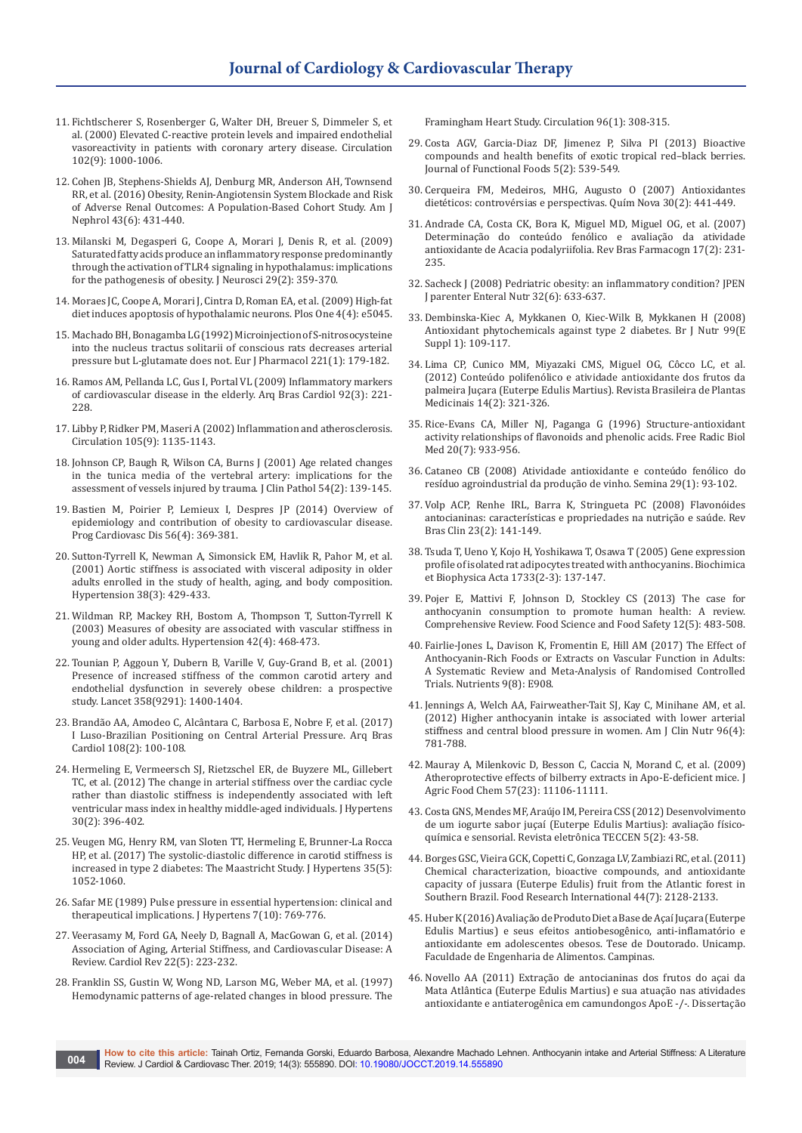- 11. [Fichtlscherer S, Rosenberger G, Walter DH, Breuer S, Dimmeler S, et](https://www.ncbi.nlm.nih.gov/pubmed/10961964)  [al. \(2000\) Elevated C-reactive protein levels and impaired endothelial](https://www.ncbi.nlm.nih.gov/pubmed/10961964)  [vasoreactivity in patients with coronary artery disease. Circulation](https://www.ncbi.nlm.nih.gov/pubmed/10961964)  [102\(9\): 1000-1006.](https://www.ncbi.nlm.nih.gov/pubmed/10961964)
- 12. [Cohen JB, Stephens-Shields AJ, Denburg MR, Anderson AH, Townsend](https://www.ncbi.nlm.nih.gov/pubmed/27228992)  [RR, et al. \(2016\) Obesity, Renin-Angiotensin System Blockade and Risk](https://www.ncbi.nlm.nih.gov/pubmed/27228992)  [of Adverse Renal Outcomes: A Population-Based Cohort Study. Am J](https://www.ncbi.nlm.nih.gov/pubmed/27228992)  [Nephrol 43\(6\): 431-440.](https://www.ncbi.nlm.nih.gov/pubmed/27228992)
- 13. [Milanski M, Degasperi G, Coope A, Morari J, Denis R, et al. \(2009\)](https://www.ncbi.nlm.nih.gov/pubmed/19144836)  [Saturated fatty acids produce an inflammatory response predominantly](https://www.ncbi.nlm.nih.gov/pubmed/19144836)  [through the activation of TLR4 signaling in hypothalamus: implications](https://www.ncbi.nlm.nih.gov/pubmed/19144836)  [for the pathogenesis of obesity. J Neurosci 29\(2\): 359-370.](https://www.ncbi.nlm.nih.gov/pubmed/19144836)
- 14. [Moraes JC, Coope A, Morari J, Cintra D, Roman EA, et al. \(2009\) High-fat](https://www.ncbi.nlm.nih.gov/pubmed/19340313)  [diet induces apoptosis of hypothalamic neurons. Plos One 4\(4\): e5045.](https://www.ncbi.nlm.nih.gov/pubmed/19340313)
- 15. [Machado BH, Bonagamba LG \(1992\) Microinjection of S-nitrosocysteine](https://www.ncbi.nlm.nih.gov/pubmed/1360902)  [into the nucleus tractus solitarii of conscious rats decreases arterial](https://www.ncbi.nlm.nih.gov/pubmed/1360902)  [pressure but L-glutamate does not. Eur J Pharmacol 221\(1\): 179-182.](https://www.ncbi.nlm.nih.gov/pubmed/1360902)
- 16. [Ramos AM, Pellanda LC, Gus I, Portal VL \(2009\) Inflammatory markers](https://www.ncbi.nlm.nih.gov/pubmed/19390712)  [of cardiovascular disease in the elderly. Arq Bras Cardiol 92\(3\): 221-](https://www.ncbi.nlm.nih.gov/pubmed/19390712) [228.](https://www.ncbi.nlm.nih.gov/pubmed/19390712)
- 17. [Libby P, Ridker PM, Maseri A \(2002\) Inflammation and atherosclerosis.](https://www.ncbi.nlm.nih.gov/pubmed/11877368)  [Circulation 105\(9\): 1135-1143.](https://www.ncbi.nlm.nih.gov/pubmed/11877368)
- 18. [Johnson CP, Baugh R, Wilson CA, Burns J \(2001\) Age related changes](https://www.ncbi.nlm.nih.gov/pubmed/11215283)  [in the tunica media of the vertebral artery: implications for the](https://www.ncbi.nlm.nih.gov/pubmed/11215283)  [assessment of vessels injured by trauma. J Clin Pathol 54\(2\): 139-145.](https://www.ncbi.nlm.nih.gov/pubmed/11215283)
- 19. [Bastien M, Poirier P, Lemieux I, Despres JP \(2014\) Overview of](https://www.ncbi.nlm.nih.gov/pubmed/24438728)  [epidemiology and contribution of obesity to cardiovascular disease.](https://www.ncbi.nlm.nih.gov/pubmed/24438728)  [Prog Cardiovasc Dis 56\(4\): 369-381.](https://www.ncbi.nlm.nih.gov/pubmed/24438728)
- 20. [Sutton-Tyrrell K, Newman A, Simonsick EM, Havlik R, Pahor M, et al.](https://www.ncbi.nlm.nih.gov/pubmed/11566917)  [\(2001\) Aortic stiffness is associated with visceral adiposity in older](https://www.ncbi.nlm.nih.gov/pubmed/11566917)  [adults enrolled in the study of health, aging, and body composition.](https://www.ncbi.nlm.nih.gov/pubmed/11566917)  [Hypertension 38\(3\): 429-433.](https://www.ncbi.nlm.nih.gov/pubmed/11566917)
- 21. [Wildman RP, Mackey RH, Bostom A, Thompson T, Sutton-Tyrrell K](https://www.ncbi.nlm.nih.gov/pubmed/12953016)  [\(2003\) Measures of obesity are associated with vascular stiffness in](https://www.ncbi.nlm.nih.gov/pubmed/12953016)  [young and older adults. Hypertension 42\(4\): 468-473.](https://www.ncbi.nlm.nih.gov/pubmed/12953016)
- 22. [Tounian P, Aggoun Y, Dubern B, Varille V, Guy-Grand B, et al. \(2001\)](https://www.ncbi.nlm.nih.gov/pubmed/11705484)  [Presence of increased stiffness of the common carotid artery and](https://www.ncbi.nlm.nih.gov/pubmed/11705484)  [endothelial dysfunction in severely obese children: a prospective](https://www.ncbi.nlm.nih.gov/pubmed/11705484)  [study. Lancet 358\(9291\): 1400-1404.](https://www.ncbi.nlm.nih.gov/pubmed/11705484)
- 23. [Brandão AA, Amodeo C, Alcântara C, Barbosa E, Nobre F, et al. \(2017\)](https://www.ncbi.nlm.nih.gov/pubmed/28327876) [I Luso-Brazilian Positioning on Central Arterial Pressure. Arq Bras](https://www.ncbi.nlm.nih.gov/pubmed/28327876)  [Cardiol 108\(2\): 100-108.](https://www.ncbi.nlm.nih.gov/pubmed/28327876)
- 24. [Hermeling E, Vermeersch SJ, Rietzschel ER, de Buyzere ML, Gillebert](https://www.ncbi.nlm.nih.gov/pubmed/22179080)  [TC, et al. \(2012\) The change in arterial stiffness over the cardiac cycle](https://www.ncbi.nlm.nih.gov/pubmed/22179080)  [rather than diastolic stiffness is independently associated with left](https://www.ncbi.nlm.nih.gov/pubmed/22179080)  [ventricular mass index in healthy middle-aged individuals. J Hypertens](https://www.ncbi.nlm.nih.gov/pubmed/22179080)  [30\(2\): 396-402.](https://www.ncbi.nlm.nih.gov/pubmed/22179080)
- 25. [Veugen MG, Henry RM, van Sloten TT, Hermeling E, Brunner-La Rocca](https://www.ncbi.nlm.nih.gov/pubmed/28355169)  [HP, et al. \(2017\) The systolic-diastolic difference in carotid stiffness is](https://www.ncbi.nlm.nih.gov/pubmed/28355169)  [increased in type 2 diabetes: The Maastricht Study. J Hypertens 35\(5\):](https://www.ncbi.nlm.nih.gov/pubmed/28355169)  [1052-1060.](https://www.ncbi.nlm.nih.gov/pubmed/28355169)
- 26. [Safar ME \(1989\) Pulse pressure in essential hypertension: clinical and](https://www.ncbi.nlm.nih.gov/pubmed/2685115)  [therapeutical implications. J Hypertens 7\(10\): 769-776.](https://www.ncbi.nlm.nih.gov/pubmed/2685115)
- 27. [Veerasamy M, Ford GA, Neely D, Bagnall A, MacGowan G, et al. \(2014\)](https://www.ncbi.nlm.nih.gov/pubmed/24441048)  [Association of Aging, Arterial Stiffness, and Cardiovascular Disease: A](https://www.ncbi.nlm.nih.gov/pubmed/24441048)  [Review. Cardiol Rev 22\(5\): 223-232.](https://www.ncbi.nlm.nih.gov/pubmed/24441048)
- 28. [Franklin SS, Gustin W, Wong ND, Larson MG, Weber MA, et al. \(1997\)](https://www.ncbi.nlm.nih.gov/pubmed/9236450)  [Hemodynamic patterns of age-related changes in blood pressure. The](https://www.ncbi.nlm.nih.gov/pubmed/9236450)

[Framingham Heart Study. Circulation 96\(1\): 308-315.](https://www.ncbi.nlm.nih.gov/pubmed/9236450)

- 29. Costa AGV, Garcia-Diaz DF, Jimenez P, Silva PI (2013) Bioactive [compounds and health benefits of exotic tropical red–black berries.](https://www.sciencedirect.com/science/article/abs/pii/S1756464613000479)  [Journal of Functional Foods 5\(2\): 539-549.](https://www.sciencedirect.com/science/article/abs/pii/S1756464613000479)
- 30. [Cerqueira FM, Medeiros, MHG, Augusto O \(2007\) Antioxidantes](http://www.scielo.br/scielo.php?script=sci_arttext&pid=S0100-40422007000200036)  [dietéticos: controvérsias e perspectivas. Quím Nova 30\(2\): 441-449.](http://www.scielo.br/scielo.php?script=sci_arttext&pid=S0100-40422007000200036)
- 31. [Andrade CA, Costa CK, Bora K, Miguel MD, Miguel OG, et al. \(2007\)](http://www.scielo.br/scielo.php?script=sci_arttext&pid=S0102-695X2007000200017)  [Determinação do conteúdo fenólico e avaliação da atividade](http://www.scielo.br/scielo.php?script=sci_arttext&pid=S0102-695X2007000200017)  [antioxidante de Acacia podalyriifolia. Rev Bras Farmacogn 17\(2\): 231-](http://www.scielo.br/scielo.php?script=sci_arttext&pid=S0102-695X2007000200017) [235.](http://www.scielo.br/scielo.php?script=sci_arttext&pid=S0102-695X2007000200017)
- 32. [Sacheck J \(2008\) Pedriatric obesity: an inflammatory condition? JPEN](https://www.ncbi.nlm.nih.gov/pubmed/18974243)  [J parenter Enteral Nutr 32\(6\): 633-637.](https://www.ncbi.nlm.nih.gov/pubmed/18974243)
- 33. [Dembinska-Kiec A, Mykkanen O, Kiec-Wilk B, Mykkanen H \(2008\)](https://www.ncbi.nlm.nih.gov/pubmed/18503731)  [Antioxidant phytochemicals against type 2 diabetes. Br J Nutr 99\(E](https://www.ncbi.nlm.nih.gov/pubmed/18503731)  [Suppl 1\): 109-117.](https://www.ncbi.nlm.nih.gov/pubmed/18503731)
- 34. [Lima CP, Cunico MM, Miyazaki CMS, Miguel OG, Côcco LC, et al.](http://www.scielo.br/scielo.php?pid=S1516-05722012000200011&script=sci_abstract&tlng=pt)  [\(2012\) Conteúdo polifenólico e atividade antioxidante dos frutos da](http://www.scielo.br/scielo.php?pid=S1516-05722012000200011&script=sci_abstract&tlng=pt)  [palmeira Juçara \(Euterpe Edulis Martius\). Revista Brasileira de Plantas](http://www.scielo.br/scielo.php?pid=S1516-05722012000200011&script=sci_abstract&tlng=pt)  [Medicinais 14\(2\): 321-326.](http://www.scielo.br/scielo.php?pid=S1516-05722012000200011&script=sci_abstract&tlng=pt)
- 35. [Rice-Evans CA, Miller NJ, Paganga G \(1996\) Structure-antioxidant](https://www.ncbi.nlm.nih.gov/pubmed/8743980)  [activity relationships of flavonoids and phenolic acids. Free Radic Biol](https://www.ncbi.nlm.nih.gov/pubmed/8743980)  [Med 20\(7\): 933-956.](https://www.ncbi.nlm.nih.gov/pubmed/8743980)
- 36. Cataneo CB (2008) Atividade antioxidante e conteúdo fenólico do resíduo agroindustrial da produção de vinho. Semina 29(1): 93-102.
- 37. Volp ACP, Renhe IRL, Barra K, Stringueta PC (2008) Flavonóides antocianinas: características e propriedades na nutrição e saúde. Rev Bras Clin 23(2): 141-149.
- 38. [Tsuda T, Ueno Y, Kojo H, Yoshikawa T, Osawa T \(2005\) Gene expression](https://www.ncbi.nlm.nih.gov/pubmed/15863361)  [profile of isolated rat adipocytes treated with anthocyanins. Biochimica](https://www.ncbi.nlm.nih.gov/pubmed/15863361)  [et Biophysica Acta 1733\(2-3\): 137-147.](https://www.ncbi.nlm.nih.gov/pubmed/15863361)
- 39. [Pojer E, Mattivi F, Johnson D, Stockley CS \(2013\) The case for](https://onlinelibrary.wiley.com/doi/full/10.1111/1541-4337.12024)  [anthocyanin consumption to promote human health: A review.](https://onlinelibrary.wiley.com/doi/full/10.1111/1541-4337.12024)  [Comprehensive Review. Food Science and Food Safety 12\(5\): 483-508.](https://onlinelibrary.wiley.com/doi/full/10.1111/1541-4337.12024)
- 40. [Fairlie-Jones L, Davison K, Fromentin E, Hill AM \(2017\) The Effect of](https://www.ncbi.nlm.nih.gov/pubmed/28825651)  [Anthocyanin-Rich Foods or Extracts on Vascular Function in Adults:](https://www.ncbi.nlm.nih.gov/pubmed/28825651)  [A Systematic Review and Meta-Analysis of Randomised Controlled](https://www.ncbi.nlm.nih.gov/pubmed/28825651)  [Trials. Nutrients 9\(8\): E908.](https://www.ncbi.nlm.nih.gov/pubmed/28825651)
- 41. [Jennings A, Welch AA, Fairweather-Tait SJ, Kay C, Minihane AM, et al.](https://www.ncbi.nlm.nih.gov/pubmed/22914551)  [\(2012\) Higher anthocyanin intake is associated with lower arterial](https://www.ncbi.nlm.nih.gov/pubmed/22914551)  [stiffness and central blood pressure in women. Am J Clin Nutr 96\(4\):](https://www.ncbi.nlm.nih.gov/pubmed/22914551)  [781-788.](https://www.ncbi.nlm.nih.gov/pubmed/22914551)
- 42. [Mauray A, Milenkovic D, Besson C, Caccia N, Morand C, et al. \(2009\)](https://www.ncbi.nlm.nih.gov/pubmed/19891504)  [Atheroprotective effects of bilberry extracts in Apo-E-deficient mice. J](https://www.ncbi.nlm.nih.gov/pubmed/19891504)  [Agric Food Chem 57\(23\): 11106-11111.](https://www.ncbi.nlm.nih.gov/pubmed/19891504)
- 43. [Costa GNS, Mendes MF, Araújo IM, Pereira CSS \(2012\) Desenvolvimento](http://editora.universidadedevassouras.edu.br/index.php/TECCEN/article/view/484)  [de um iogurte sabor juçaí \(Euterpe Edulis Martius\): avaliação físico](http://editora.universidadedevassouras.edu.br/index.php/TECCEN/article/view/484)[química e sensorial. Revista eletrônica TECCEN 5\(2\): 43-58.](http://editora.universidadedevassouras.edu.br/index.php/TECCEN/article/view/484)
- 44. [Borges GSC, Vieira GCK, Copetti C, Gonzaga LV, Zambiazi RC, et al. \(2011\)](https://pubag.nal.usda.gov/catalog/554938)  [Chemical characterization, bioactive compounds, and antioxidante](https://pubag.nal.usda.gov/catalog/554938)  [capacity of jussara \(Euterpe Edulis\) fruit from the Atlantic forest in](https://pubag.nal.usda.gov/catalog/554938)  [Southern Brazil. Food Research International 44\(7\): 2128-2133.](https://pubag.nal.usda.gov/catalog/554938)
- 45. Huber K (2016) Avaliação de Produto Diet a Base de Açaí Juçara (Euterpe Edulis Martius) e seus efeitos antiobesogênico, anti-inflamatório e antioxidante em adolescentes obesos. Tese de Doutorado. Unicamp. Faculdade de Engenharia de Alimentos. Campinas.
- 46. Novello AA (2011) Extração de antocianinas dos frutos do açai da Mata Atlântica (Euterpe Edulis Martius) e sua atuação nas atividades antioxidante e antiaterogênica em camundongos ApoE -/-. Dissertação